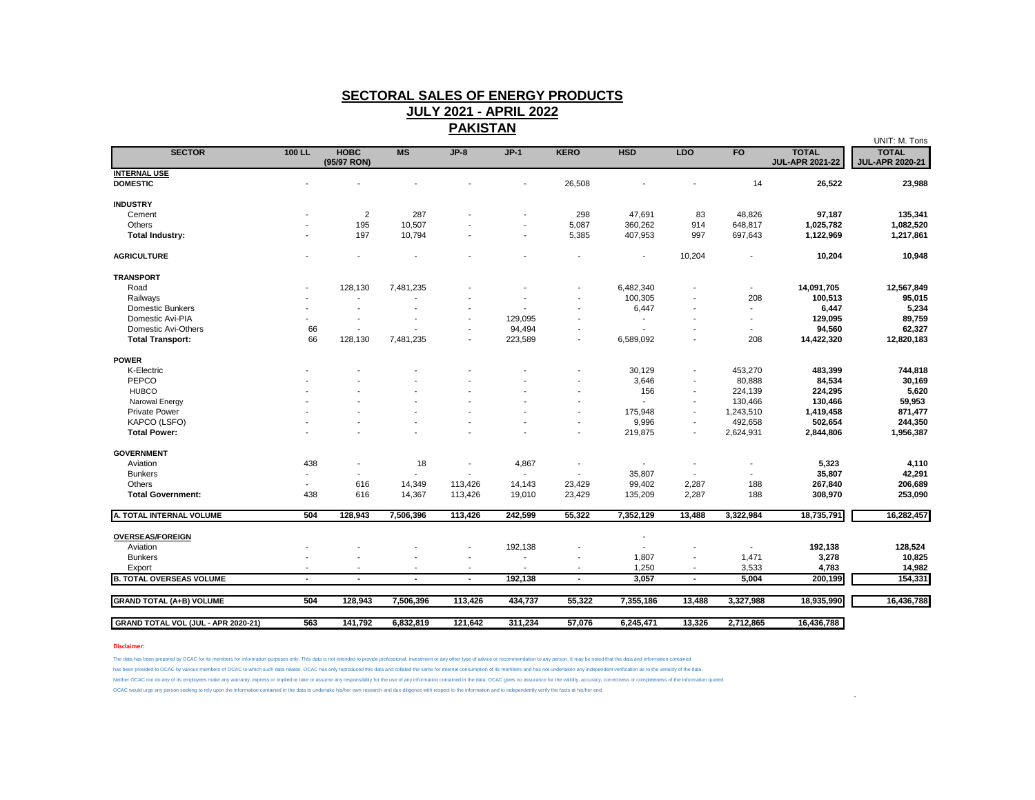## **SECTORAL SALES OF ENERGY PRODUCTS JULY 2021 - APRIL 2022**

**PAKISTAN**

|                                     |        |                            |           |                          |                          |                          |                |                          |                          |                                        | UNIT: M. Tons                          |
|-------------------------------------|--------|----------------------------|-----------|--------------------------|--------------------------|--------------------------|----------------|--------------------------|--------------------------|----------------------------------------|----------------------------------------|
| <b>SECTOR</b>                       | 100 LL | <b>HOBC</b><br>(95/97 RON) | MS        | $JP-8$                   | $JP-1$                   | <b>KERO</b>              | <b>HSD</b>     | <b>LDO</b>               | F <sub>O</sub>           | <b>TOTAL</b><br><b>JUL-APR 2021-22</b> | <b>TOTAL</b><br><b>JUL-APR 2020-21</b> |
| <b>INTERNAL USE</b>                 |        |                            |           |                          |                          |                          |                |                          |                          |                                        |                                        |
| <b>DOMESTIC</b>                     |        |                            |           |                          |                          | 26,508                   |                |                          | 14                       | 26,522                                 | 23,988                                 |
| <b>INDUSTRY</b>                     |        |                            |           |                          |                          |                          |                |                          |                          |                                        |                                        |
| Cement                              |        | $\overline{2}$             | 287       |                          |                          | 298                      | 47,691         | 83                       | 48,826                   | 97,187                                 | 135,341                                |
| Others                              |        | 195                        | 10,507    |                          | ٠                        | 5,087                    | 360,262        | 914                      | 648,817                  | 1,025,782                              | 1,082,520                              |
| <b>Total Industry:</b>              |        | 197                        | 10,794    |                          |                          | 5,385                    | 407,953        | 997                      | 697,643                  | 1,122,969                              | 1,217,861                              |
| <b>AGRICULTURE</b>                  |        |                            |           |                          |                          |                          | $\blacksquare$ | 10,204                   |                          | 10,204                                 | 10,948                                 |
| <b>TRANSPORT</b>                    |        |                            |           |                          |                          |                          |                |                          |                          |                                        |                                        |
| Road                                |        | 128,130                    | 7,481,235 |                          |                          |                          | 6,482,340      |                          | $\overline{\phantom{a}}$ | 14,091,705                             | 12,567,849                             |
| Railways                            |        |                            |           |                          |                          |                          | 100,305        |                          | 208                      | 100,513                                | 95,015                                 |
| <b>Domestic Bunkers</b>             |        |                            |           |                          |                          |                          | 6,447          |                          | ٠                        | 6,447                                  | 5,234                                  |
| Domestic Avi-PIA                    |        | $\overline{\phantom{a}}$   |           | ۰                        | 129,095                  |                          |                |                          | ۰                        | 129,095                                | 89,759                                 |
| Domestic Avi-Others                 | 66     |                            |           |                          | 94,494                   |                          |                |                          | ٠                        | 94,560                                 | 62,327                                 |
| <b>Total Transport:</b>             | 66     | 128,130                    | 7,481,235 | $\blacksquare$           | 223,589                  | $\overline{\phantom{a}}$ | 6,589,092      |                          | 208                      | 14,422,320                             | 12,820,183                             |
| <b>POWER</b>                        |        |                            |           |                          |                          |                          |                |                          |                          |                                        |                                        |
| K-Electric                          |        |                            |           |                          |                          |                          | 30,129         |                          | 453,270                  | 483,399                                | 744,818                                |
| PEPCO                               |        |                            |           |                          |                          |                          | 3,646          |                          | 80,888                   | 84,534                                 | 30,169                                 |
| <b>HUBCO</b>                        |        |                            |           |                          |                          |                          | 156            |                          | 224,139                  | 224,295                                | 5,620                                  |
| Narowal Energy                      |        |                            |           |                          |                          |                          |                |                          | 130,466                  | 130,466                                | 59,953                                 |
| <b>Private Power</b>                |        |                            |           |                          |                          |                          | 175,948        |                          | 1,243,510                | 1,419,458                              | 871,477                                |
| KAPCO (LSFO)                        |        |                            |           |                          |                          |                          | 9,996          | $\overline{\phantom{a}}$ | 492,658                  | 502,654                                | 244,350                                |
| <b>Total Power:</b>                 |        |                            |           |                          |                          |                          | 219,875        |                          | 2,624,931                | 2,844,806                              | 1,956,387                              |
| <b>GOVERNMENT</b>                   |        |                            |           |                          |                          |                          |                |                          |                          |                                        |                                        |
| Aviation                            | 438    | $\blacksquare$             | 18        | $\blacksquare$           | 4,867                    |                          | $\overline{a}$ |                          |                          | 5,323                                  | 4,110                                  |
| <b>Bunkers</b>                      |        |                            |           |                          | $\blacksquare$           |                          | 35,807         | $\sim$                   |                          | 35,807                                 | 42,291                                 |
| Others                              | $\sim$ | 616                        | 14,349    | 113,426                  | 14,143                   | 23,429                   | 99,402         | 2,287                    | 188                      | 267,840                                | 206,689                                |
| <b>Total Government:</b>            | 438    | 616                        | 14,367    | 113,426                  | 19,010                   | 23,429                   | 135,209        | 2,287                    | 188                      | 308,970                                | 253,090                                |
| A. TOTAL INTERNAL VOLUME            | 504    | 128,943                    | 7,506,396 | 113,426                  | 242,599                  | 55,322                   | 7,352,129      | 13,488                   | 3,322,984                | 18,735,791                             | 16,282,457                             |
| <b>OVERSEAS/FOREIGN</b>             |        |                            |           |                          |                          |                          |                |                          |                          |                                        |                                        |
| Aviation                            |        |                            |           | $\overline{\phantom{a}}$ | 192,138                  |                          |                |                          | -                        | 192,138                                | 128,524                                |
| <b>Bunkers</b>                      |        |                            |           |                          | ÷.                       |                          | 1,807          |                          | 1,471                    | 3,278                                  | 10,825                                 |
| Export                              |        | $\overline{\phantom{a}}$   |           | $\overline{\phantom{a}}$ | $\overline{\phantom{a}}$ | $\overline{\phantom{a}}$ | 1,250          | $\sim$                   | 3,533                    | 4,783                                  | 14,982                                 |
| <b>B. TOTAL OVERSEAS VOLUME</b>     |        | $\blacksquare$             |           | $\blacksquare$           | 192,138                  | $\blacksquare$           | 3,057          |                          | 5,004                    | 200,199                                | 154,331                                |
|                                     |        |                            |           |                          |                          |                          |                |                          |                          |                                        |                                        |
| <b>GRAND TOTAL (A+B) VOLUME</b>     | 504    | 128,943                    | 7,506,396 | 113,426                  | 434,737                  | 55,322                   | 7,355,186      | 13,488                   | 3,327,988                | 18,935,990                             | 16,436,788                             |
| GRAND TOTAL VOL (JUL - APR 2020-21) | 563    | 141,792                    | 6,832,819 | 121,642                  | 311,234                  | 57,076                   | 6,245,471      | 13,326                   | 2,712,865                | 16,436,788                             |                                        |

 $\sim$ 

**Disclaimer:**

The data has been prepared by OCAC for its members for information purposes only. This data is not intended to provide professional, investment or any other type of advice or recommendation to any person. It may be noted t

has been provided to OCAC by various members of OCAC to which such data relates. OCAC has only reproduced this data and collated the same for internal consumption of its members and has not undertaken any independent verif

Neither OCAC nor do any of its employees make any warranty, express or implied or take or assume any responsibility for the use of any information contained in the data. OCAC gives no assurance for the validity, accuracy,

OCAC would urge any person seeking to rely upon the information contained in the data to undertake his/her own research and due diligence with respect to the information and to independently verify the facts at his/her end